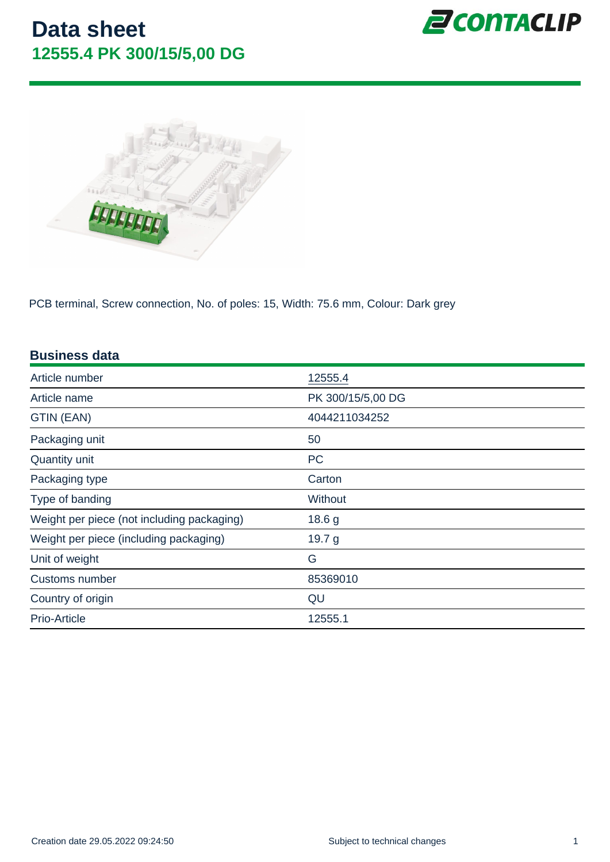PCB terminal, Screw connection, No. of poles: 15, Width: 75.6 mm, Colour: Dark grey

| <b>Business data</b>                       |                   |
|--------------------------------------------|-------------------|
| Article number                             | 12555.4           |
| Article name                               | PK 300/15/5,00 DG |
| GTIN (EAN)                                 | 4044211034252     |
| Packaging unit                             | 50                |
| Quantity unit                              | <b>PC</b>         |
| Packaging type                             | Carton            |
| Type of banding                            | <b>Without</b>    |
| Weight per piece (not including packaging) | 18.6 g            |
| Weight per piece (including packaging)     | 19.7 g            |
| Unit of weight                             | G                 |
| Customs number                             | 85369010          |
| Country of origin                          | QU                |
| Prio-Article                               | 12555.1           |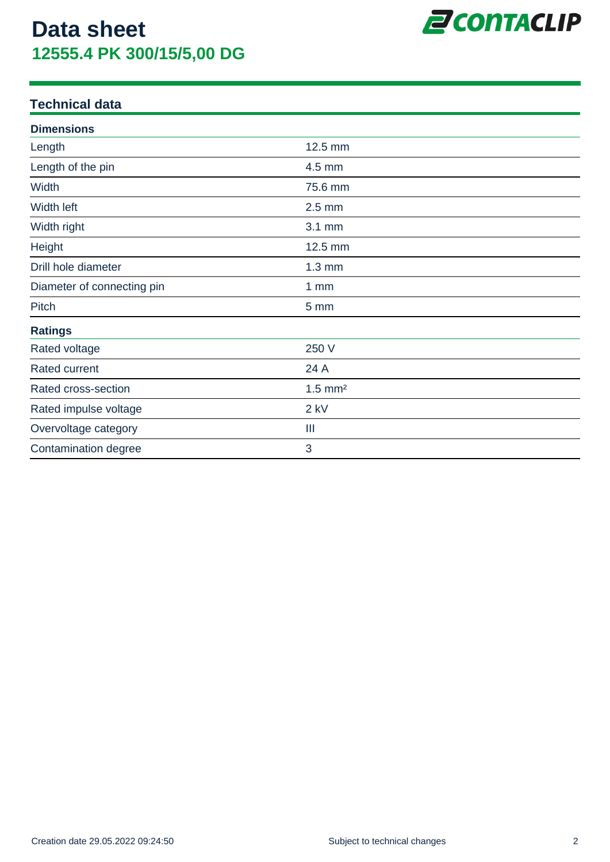

### **Technical data**

| <b>Dimensions</b>          |                       |  |
|----------------------------|-----------------------|--|
| Length                     | 12.5 mm               |  |
| Length of the pin          | 4.5 mm                |  |
| Width                      | 75.6 mm               |  |
| Width left                 | $2.5$ mm              |  |
| Width right                | 3.1 mm                |  |
| Height                     | 12.5 mm               |  |
| Drill hole diameter        | $1.3 \text{ mm}$      |  |
| Diameter of connecting pin | 1mm                   |  |
| Pitch                      | 5 mm                  |  |
| <b>Ratings</b>             |                       |  |
| Rated voltage              | 250 V                 |  |
| <b>Rated current</b>       | 24 A                  |  |
| Rated cross-section        | $1.5$ mm <sup>2</sup> |  |
| Rated impulse voltage      | $2$ kV                |  |
| Overvoltage category       | Ш                     |  |
| Contamination degree       | 3                     |  |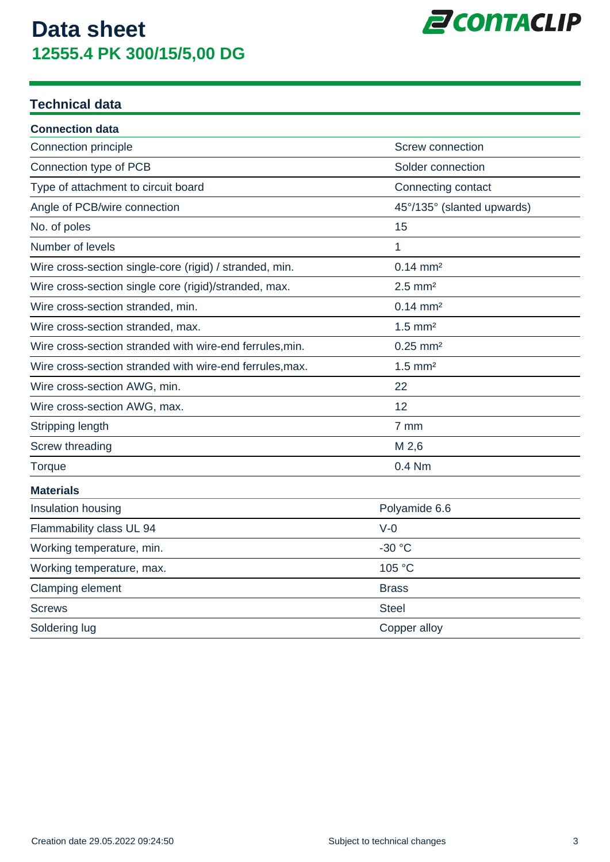

### **Technical data**

| <b>Connection data</b>                                   |                            |
|----------------------------------------------------------|----------------------------|
| Connection principle                                     | <b>Screw connection</b>    |
| Connection type of PCB                                   | Solder connection          |
| Type of attachment to circuit board                      | Connecting contact         |
| Angle of PCB/wire connection                             | 45°/135° (slanted upwards) |
| No. of poles                                             | 15                         |
| Number of levels                                         | 1                          |
| Wire cross-section single-core (rigid) / stranded, min.  | $0.14 \, \text{mm}^2$      |
| Wire cross-section single core (rigid)/stranded, max.    | $2.5$ mm <sup>2</sup>      |
| Wire cross-section stranded, min.                        | $0.14 \, \text{mm}^2$      |
| Wire cross-section stranded, max.                        | $1.5$ mm <sup>2</sup>      |
| Wire cross-section stranded with wire-end ferrules, min. | $0.25$ mm <sup>2</sup>     |
| Wire cross-section stranded with wire-end ferrules, max. | $1.5$ mm <sup>2</sup>      |
| Wire cross-section AWG, min.                             | 22                         |
| Wire cross-section AWG, max.                             | 12                         |
| Stripping length                                         | 7 mm                       |
| Screw threading                                          | M 2,6                      |
| Torque                                                   | $0.4$ Nm                   |
| <b>Materials</b>                                         |                            |
| Insulation housing                                       | Polyamide 6.6              |
| Flammability class UL 94                                 | $V-0$                      |
| Working temperature, min.                                | $-30$ °C                   |
| Working temperature, max.                                | 105 °C                     |
| Clamping element                                         | <b>Brass</b>               |
| <b>Screws</b>                                            | <b>Steel</b>               |
| Soldering lug                                            | Copper alloy               |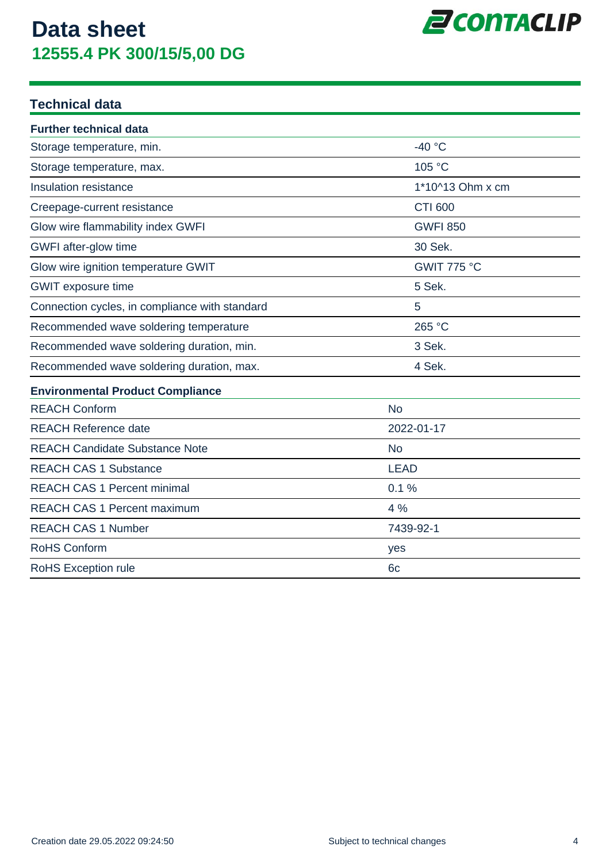

### **Technical data**

| <b>Further technical data</b>                  |                  |
|------------------------------------------------|------------------|
| Storage temperature, min.                      | $-40 °C$         |
| Storage temperature, max.                      | 105 °C           |
| Insulation resistance                          | 1*10^13 Ohm x cm |
| Creepage-current resistance                    | <b>CTI 600</b>   |
| Glow wire flammability index GWFI              | <b>GWFI 850</b>  |
| GWFI after-glow time                           | 30 Sek.          |
| Glow wire ignition temperature GWIT            | GWIT 775 °C      |
| <b>GWIT</b> exposure time                      | 5 Sek.           |
| Connection cycles, in compliance with standard | 5                |
| Recommended wave soldering temperature         | 265 °C           |
| Recommended wave soldering duration, min.      | 3 Sek.           |
| Recommended wave soldering duration, max.      | 4 Sek.           |
| <b>Environmental Product Compliance</b>        |                  |
| <b>REACH Conform</b>                           | <b>No</b>        |
| <b>REACH Reference date</b>                    | 2022-01-17       |
| <b>REACH Candidate Substance Note</b>          | <b>No</b>        |
| <b>REACH CAS 1 Substance</b>                   | <b>LEAD</b>      |
| <b>REACH CAS 1 Percent minimal</b>             | 0.1%             |
| <b>REACH CAS 1 Percent maximum</b>             | 4 %              |
| <b>REACH CAS 1 Number</b>                      | 7439-92-1        |
| <b>RoHS Conform</b>                            | yes              |
| RoHS Exception rule                            | 6 <sub>c</sub>   |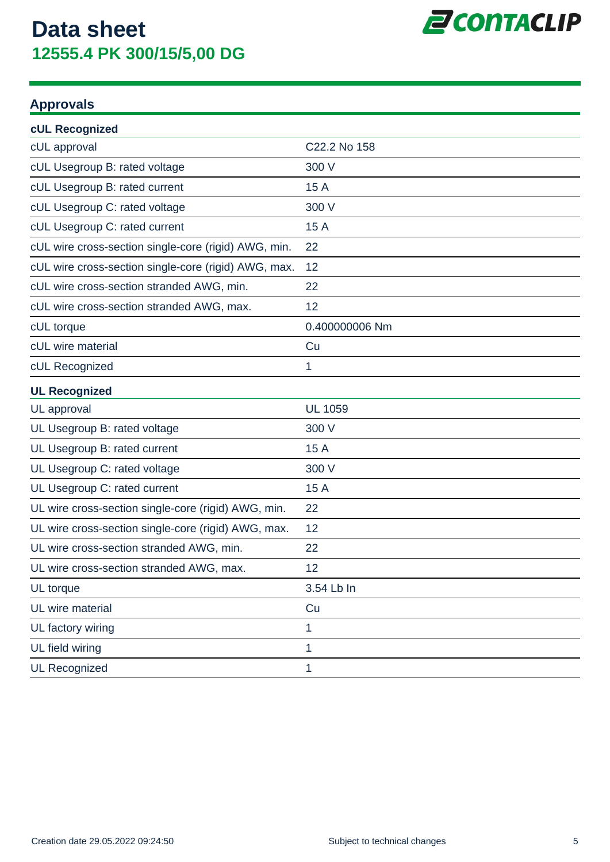

### **Approvals**

| <b>cUL Recognized</b>                                |                |
|------------------------------------------------------|----------------|
| cUL approval                                         | C22.2 No 158   |
| cUL Usegroup B: rated voltage                        | 300 V          |
| cUL Usegroup B: rated current                        | 15 A           |
| cUL Usegroup C: rated voltage                        | 300 V          |
| cUL Usegroup C: rated current                        | 15 A           |
| cUL wire cross-section single-core (rigid) AWG, min. | 22             |
| cUL wire cross-section single-core (rigid) AWG, max. | 12             |
| cUL wire cross-section stranded AWG, min.            | 22             |
| cUL wire cross-section stranded AWG, max.            | 12             |
| cUL torque                                           | 0.400000006 Nm |
| cUL wire material                                    | Cu             |
| cUL Recognized                                       | 1              |
| <b>UL Recognized</b>                                 |                |
| UL approval                                          | <b>UL 1059</b> |
| UL Usegroup B: rated voltage                         | 300 V          |
| UL Usegroup B: rated current                         | 15 A           |
| UL Usegroup C: rated voltage                         | 300 V          |
| UL Usegroup C: rated current                         | 15 A           |
| UL wire cross-section single-core (rigid) AWG, min.  | 22             |
| UL wire cross-section single-core (rigid) AWG, max.  | 12             |
| UL wire cross-section stranded AWG, min.             | 22             |
| UL wire cross-section stranded AWG, max.             | 12             |
| UL torque                                            | 3.54 Lb In     |
| UL wire material                                     | Cu             |
| UL factory wiring                                    | 1              |
| UL field wiring                                      | 1              |
| <b>UL Recognized</b>                                 | 1              |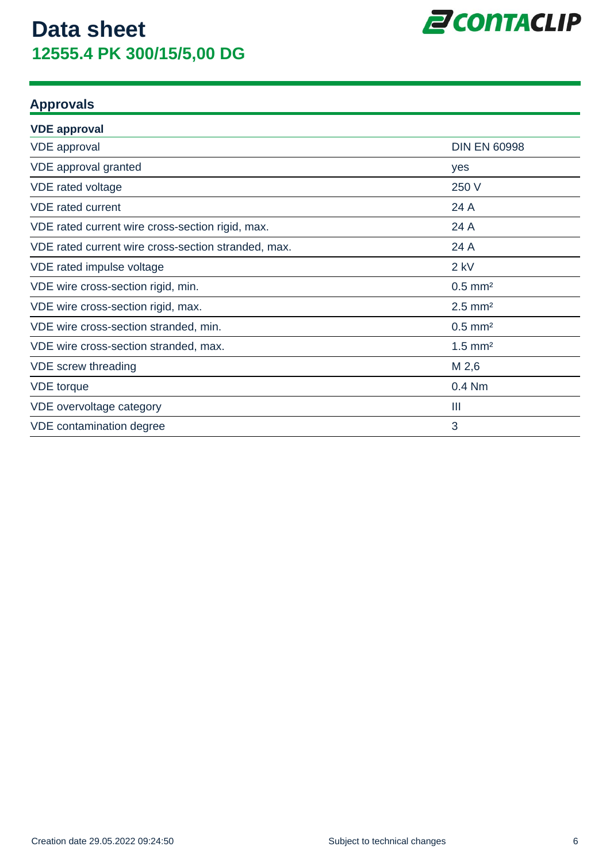

### **Approvals**

| <b>VDE approval</b>                                 |                       |
|-----------------------------------------------------|-----------------------|
| <b>VDE</b> approval                                 | <b>DIN EN 60998</b>   |
| VDE approval granted                                | yes                   |
| VDE rated voltage                                   | 250 V                 |
| <b>VDE</b> rated current                            | 24 A                  |
| VDE rated current wire cross-section rigid, max.    | 24 A                  |
| VDE rated current wire cross-section stranded, max. | 24 A                  |
| VDE rated impulse voltage                           | $2$ kV                |
| VDE wire cross-section rigid, min.                  | $0.5$ mm <sup>2</sup> |
| VDE wire cross-section rigid, max.                  | $2.5$ mm <sup>2</sup> |
| VDE wire cross-section stranded, min.               | $0.5$ mm <sup>2</sup> |
| VDE wire cross-section stranded, max.               | $1.5$ mm <sup>2</sup> |
| VDE screw threading                                 | M 2,6                 |
| <b>VDE</b> torque                                   | 0.4 Nm                |
| VDE overvoltage category                            | Ш                     |
| VDE contamination degree                            | 3                     |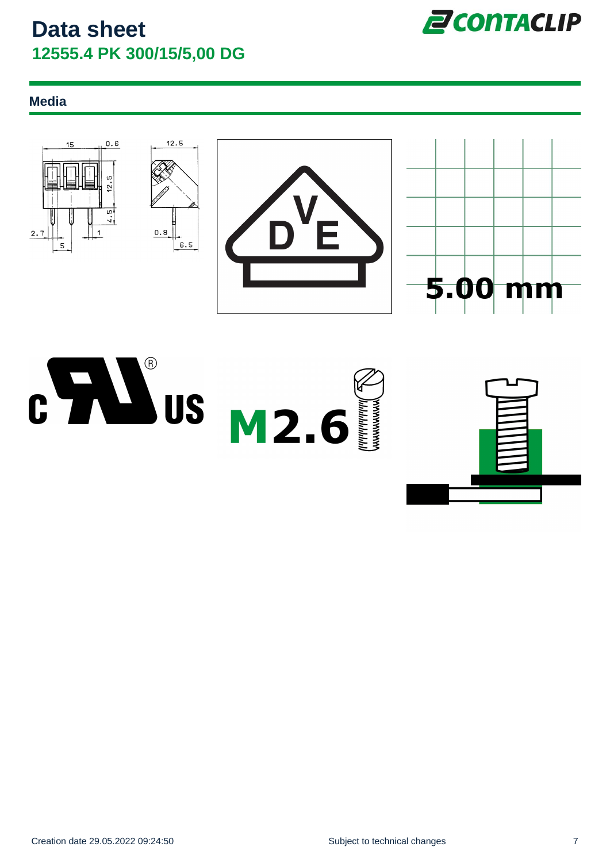

### **Media**